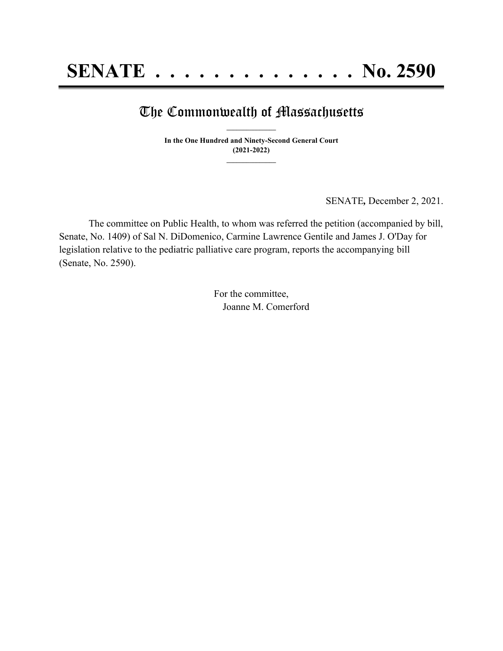## The Commonwealth of Massachusetts **\_\_\_\_\_\_\_\_\_\_\_\_\_\_\_**

**In the One Hundred and Ninety-Second General Court (2021-2022) \_\_\_\_\_\_\_\_\_\_\_\_\_\_\_**

SENATE*,* December 2, 2021.

The committee on Public Health, to whom was referred the petition (accompanied by bill, Senate, No. 1409) of Sal N. DiDomenico, Carmine Lawrence Gentile and James J. O'Day for legislation relative to the pediatric palliative care program, reports the accompanying bill (Senate, No. 2590).

> For the committee, Joanne M. Comerford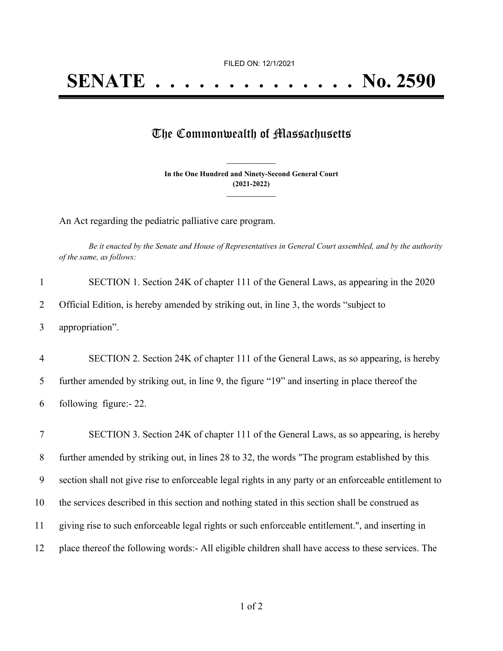## The Commonwealth of Massachusetts

**In the One Hundred and Ninety-Second General Court (2021-2022) \_\_\_\_\_\_\_\_\_\_\_\_\_\_\_**

**\_\_\_\_\_\_\_\_\_\_\_\_\_\_\_**

An Act regarding the pediatric palliative care program.

Be it enacted by the Senate and House of Representatives in General Court assembled, and by the authority *of the same, as follows:*

|   | SECTION 1. Section 24K of chapter 111 of the General Laws, as appearing in the 2020   |
|---|---------------------------------------------------------------------------------------|
|   | Official Edition, is hereby amended by striking out, in line 3, the words "subject to |
| 3 | appropriation".                                                                       |

4 SECTION 2. Section 24K of chapter 111 of the General Laws, as so appearing, is hereby 5 further amended by striking out, in line 9, the figure "19" and inserting in place thereof the 6 following figure:- 22.

 SECTION 3. Section 24K of chapter 111 of the General Laws, as so appearing, is hereby further amended by striking out, in lines 28 to 32, the words "The program established by this section shall not give rise to enforceable legal rights in any party or an enforceable entitlement to the services described in this section and nothing stated in this section shall be construed as giving rise to such enforceable legal rights or such enforceable entitlement.", and inserting in place thereof the following words:- All eligible children shall have access to these services. The